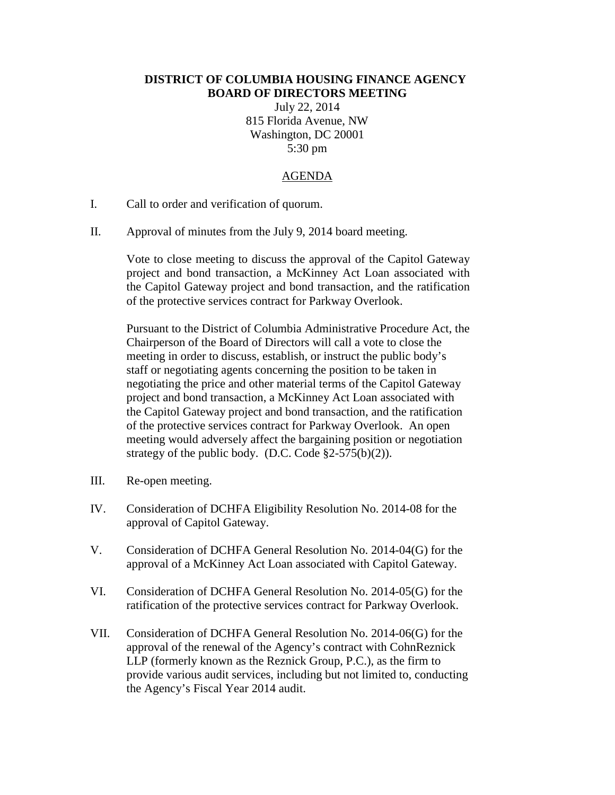## **DISTRICT OF COLUMBIA HOUSING FINANCE AGENCY BOARD OF DIRECTORS MEETING**

July 22, 2014 815 Florida Avenue, NW Washington, DC 20001 5:30 pm

## AGENDA

- I. Call to order and verification of quorum.
- II. Approval of minutes from the July 9, 2014 board meeting.

Vote to close meeting to discuss the approval of the Capitol Gateway project and bond transaction, a McKinney Act Loan associated with the Capitol Gateway project and bond transaction, and the ratification of the protective services contract for Parkway Overlook.

Pursuant to the District of Columbia Administrative Procedure Act, the Chairperson of the Board of Directors will call a vote to close the meeting in order to discuss, establish, or instruct the public body's staff or negotiating agents concerning the position to be taken in negotiating the price and other material terms of the Capitol Gateway project and bond transaction, a McKinney Act Loan associated with the Capitol Gateway project and bond transaction, and the ratification of the protective services contract for Parkway Overlook. An open meeting would adversely affect the bargaining position or negotiation strategy of the public body. (D.C. Code  $\S2-575(b)(2)$ ).

- III. Re-open meeting.
- IV. Consideration of DCHFA Eligibility Resolution No. 2014-08 for the approval of Capitol Gateway.
- V. Consideration of DCHFA General Resolution No. 2014-04(G) for the approval of a McKinney Act Loan associated with Capitol Gateway.
- VI. Consideration of DCHFA General Resolution No. 2014-05(G) for the ratification of the protective services contract for Parkway Overlook.
- VII. Consideration of DCHFA General Resolution No. 2014-06(G) for the approval of the renewal of the Agency's contract with CohnReznick LLP (formerly known as the Reznick Group, P.C.), as the firm to provide various audit services, including but not limited to, conducting the Agency's Fiscal Year 2014 audit.